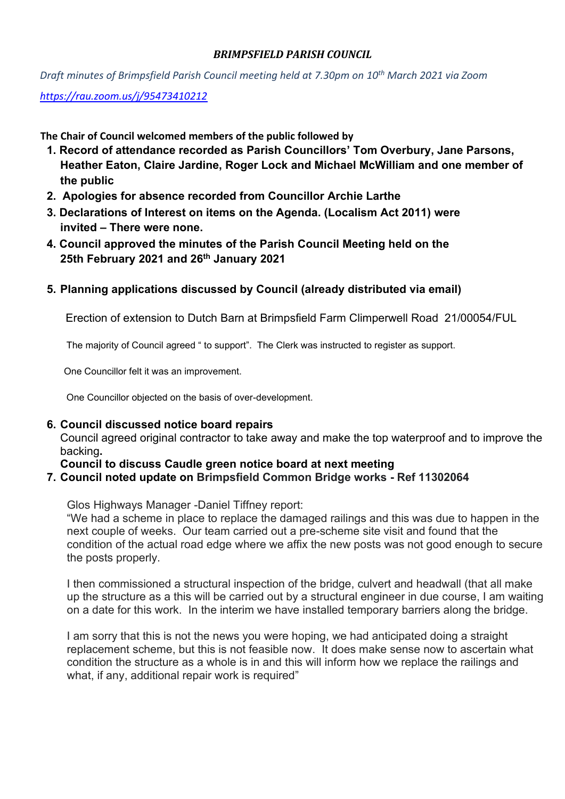### *BRIMPSFIELD PARISH COUNCIL*

*Draft minutes of Brimpsfield Parish Council meeting held at 7.30pm on 10th March 2021 via Zoom* 

*<https://rau.zoom.us/j/95473410212>*

**The Chair of Council welcomed members of the public followed by** 

- **1. Record of attendance recorded as Parish Councillors' Tom Overbury, Jane Parsons, Heather Eaton, Claire Jardine, Roger Lock and Michael McWilliam and one member of the public**
- **2. Apologies for absence recorded from Councillor Archie Larthe**
- **3. Declarations of Interest on items on the Agenda. (Localism Act 2011) were invited – There were none.**
- **4. Council approved the minutes of the Parish Council Meeting held on the 25th February 2021 and 26th January 2021**
- **5. Planning applications discussed by Council (already distributed via email)**

Erection of extension to Dutch Barn at Brimpsfield Farm Climperwell Road 21/00054/FUL

The majority of Council agreed " to support". The Clerk was instructed to register as support.

One Councillor felt it was an improvement.

One Councillor objected on the basis of over-development.

### **6. Council discussed notice board repairs**

Council agreed original contractor to take away and make the top waterproof and to improve the backing**.** 

### **Council to discuss Caudle green notice board at next meeting**

### **7. Council noted update on Brimpsfield Common Bridge works - Ref 11302064**

Glos Highways Manager -Daniel Tiffney report:

"We had a scheme in place to replace the damaged railings and this was due to happen in the next couple of weeks. Our team carried out a pre-scheme site visit and found that the condition of the actual road edge where we affix the new posts was not good enough to secure the posts properly.

I then commissioned a structural inspection of the bridge, culvert and headwall (that all make up the structure as a this will be carried out by a structural engineer in due course, I am waiting on a date for this work. In the interim we have installed temporary barriers along the bridge.

I am sorry that this is not the news you were hoping, we had anticipated doing a straight replacement scheme, but this is not feasible now. It does make sense now to ascertain what condition the structure as a whole is in and this will inform how we replace the railings and what, if any, additional repair work is required"